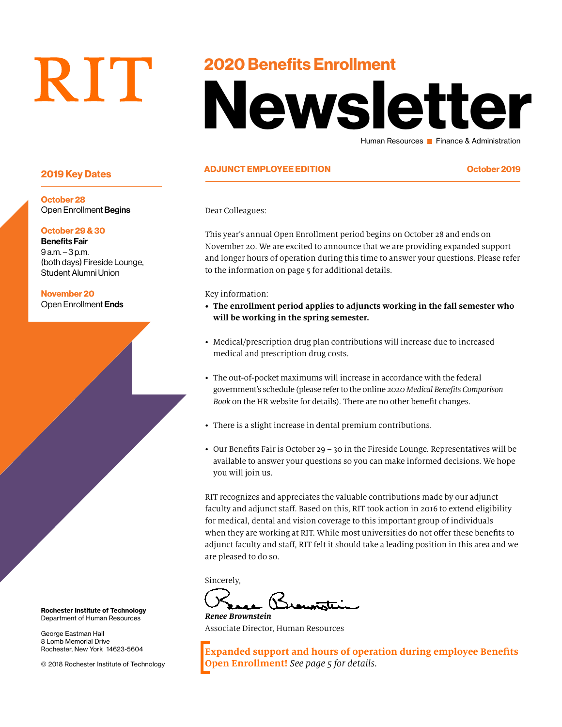# RIT

### 2020 Benefits Enrollment

# Newsletter Human Resources **Finance & Administration**

### ADJUNCT EMPLOYEE EDITION October 2019 2019 Key Dates

Dear Colleagues:

This year's annual Open Enrollment period begins on October 28 and ends on November 20. We are excited to announce that we are providing expanded support and longer hours of operation during this time to answer your questions. Please refer to the information on page 5 for additional details.

Key information:

- **• The enrollment period applies to adjuncts working in the fall semester who will be working in the spring semester.**
- Medical/prescription drug plan contributions will increase due to increased medical and prescription drug costs.
- The out-of-pocket maximums will increase in accordance with the federal government's schedule (please refer to the online *2020 Medical Benefits Comparison Book* on the HR website for details). There are no other benefit changes.
- There is a slight increase in dental premium contributions.
- Our Benefits Fair is October 29 30 in the Fireside Lounge. Representatives will be available to answer your questions so you can make informed decisions. We hope you will join us.

RIT recognizes and appreciates the valuable contributions made by our adjunct faculty and adjunct staff. Based on this, RIT took action in 2016 to extend eligibility for medical, dental and vision coverage to this important group of individuals when they are working at RIT. While most universities do not offer these benefits to adjunct faculty and staff, RIT felt it should take a leading position in this area and we are pleased to do so.

Sincerely,

*Renee Brownstein* Associate Director, Human Resources

**Expanded support and hours of operation during employee Benefits Open Enrollment!** *See page 5 for details.*

October 28 Open Enrollment Begins

#### October 29 & 30

Benefits Fair 9 a.m. – 3 p.m. (both days) Fireside Lounge, Student Alumni Union

November 20 Open Enrollment Ends

Rochester Institute of Technology Department of Human Resources

George Eastman Hall 8 Lomb Memorial Drive Rochester, New York 14623-5604

© 2018 Rochester Institute of Technology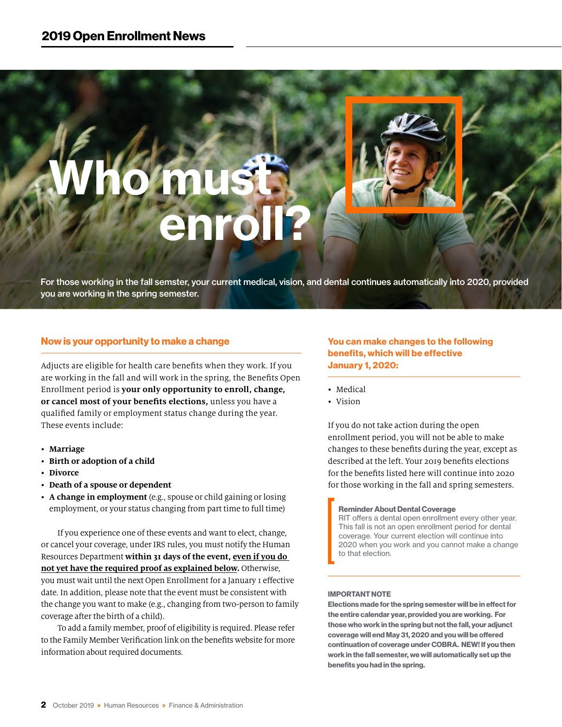# Who must **Enroll?**

For those working in the fall semster, your current medical, vision, and dental continues automatically into 2020, provided you are working in the spring semester.

#### Now is your opportunity to make a change

Adjucts are eligible for health care benefits when they work. If you are working in the fall and will work in the spring, the Benefits Open Enrollment period is **your only opportunity to enroll, change, or cancel most of your benefits elections,** unless you have a qualified family or employment status change during the year. These events include:

- **Marriage**
- **Birth or adoption of a child**
- **Divorce**
- **Death of a spouse or dependent**
- **A change in employment** (e.g., spouse or child gaining or losing employment, or your status changing from part time to full time)

If you experience one of these events and want to elect, change, or cancel your coverage, under IRS rules, you must notify the Human Resources Department **within 31 days of the event, even if you do not yet have the required proof as explained below.** Otherwise, you must wait until the next Open Enrollment for a January 1 effective date. In addition, please note that the event must be consistent with the change you want to make (e.g., changing from two-person to family coverage after the birth of a child).

To add a family member, proof of eligibility is required. Please refer to the Family Member Verification link on the benefits website for more information about required documents.

You can make changes to the following benefits, which will be effective January 1, 2020:

- Medical
- Vision

If you do not take action during the open enrollment period, you will not be able to make changes to these benefits during the year, except as described at the left. Your 2019 benefits elections for the benefits listed here will continue into 2020 for those working in the fall and spring semesters.

Reminder About Dental Coverage RIT offers a dental open enrollment every other year. This fall is not an open enrollment period for dental coverage. Your current election will continue into 2020 when you work and you cannot make a change to that election.

#### IMPORTANT NOTE

Elections made for the spring semester will be in effect for the entire calendar year, provided you are working. For those who work in the spring but not the fall, your adjunct coverage will end May 31, 2020 and you will be offered continuation of coverage under COBRA. NEW! If you then work in the fall semester, we will automatically set up the benefits you had in the spring.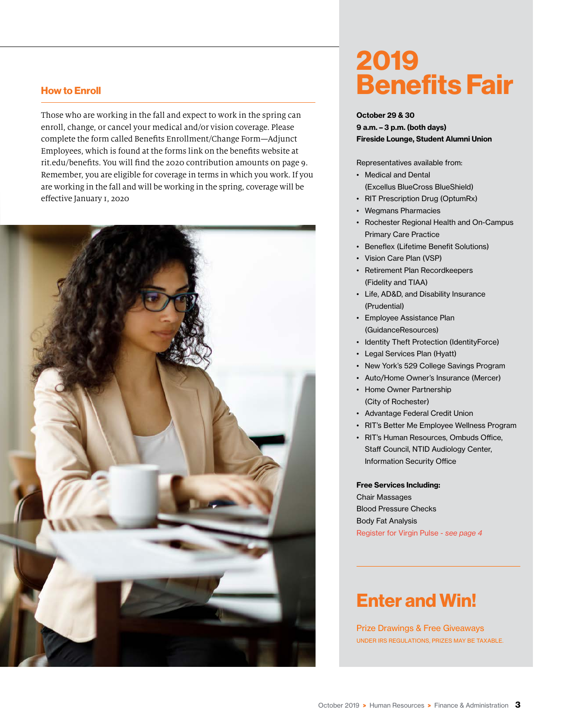#### How to Enroll

Those who are working in the fall and expect to work in the spring can enroll, change, or cancel your medical and/or vision coverage. Please complete the form called Benefits Enrollment/Change Form—Adjunct Employees, which is found at the forms link on the benefits website at rit.edu/benefits. You will find the 2020 contribution amounts on page 9. Remember, you are eligible for coverage in terms in which you work. If you are working in the fall and will be working in the spring, coverage will be effective January 1, 2020



# 2019 Benefits Fair

#### October 29 & 30

9 a.m. – 3 p.m. (both days) Fireside Lounge, Student Alumni Union

Representatives available from:

- Medical and Dental (Excellus BlueCross BlueShield)
- RIT Prescription Drug (OptumRx)
- Wegmans Pharmacies
- Rochester Regional Health and On-Campus Primary Care Practice
- Beneflex (Lifetime Benefit Solutions)
- Vision Care Plan (VSP)
- Retirement Plan Recordkeepers (Fidelity and TIAA)
- Life, AD&D, and Disability Insurance (Prudential)
- Employee Assistance Plan (GuidanceResources)
- Identity Theft Protection (IdentityForce)
- Legal Services Plan (Hyatt)
- New York's 529 College Savings Program
- Auto/Home Owner's Insurance (Mercer)
- Home Owner Partnership (City of Rochester)
- Advantage Federal Credit Union
- RIT's Better Me Employee Wellness Program
- RIT's Human Resources, Ombuds Office, Staff Council, NTID Audiology Center, Information Security Office

Free Services Including:

Chair Massages Blood Pressure Checks Body Fat Analysis Register for Virgin Pulse - *see page 4*

## Enter and Win!

Prize Drawings & Free Giveaways UNDER IRS REGULATIONS, PRIZES MAY BE TAXABLE.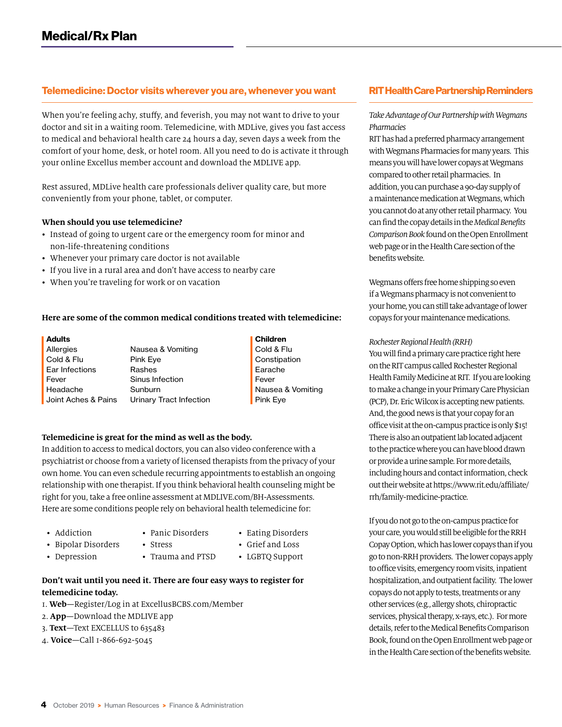#### Telemedicine: Doctor visits wherever you are, whenever you want

When you're feeling achy, stuffy, and feverish, you may not want to drive to your doctor and sit in a waiting room. Telemedicine, with MDLive, gives you fast access to medical and behavioral health care 24 hours a day, seven days a week from the comfort of your home, desk, or hotel room. All you need to do is activate it through your online Excellus member account and download the MDLIVE app.

Rest assured, MDLive health care professionals deliver quality care, but more conveniently from your phone, tablet, or computer.

#### **When should you use telemedicine?**

- Instead of going to urgent care or the emergency room for minor and non-life-threatening conditions
- Whenever your primary care doctor is not available
- If you live in a rural area and don't have access to nearby care
- When you're traveling for work or on vacation

#### **Here are some of the common medical conditions treated with telemedicine:**

| <b>Adults</b>       |                         |
|---------------------|-------------------------|
| Allergies           | Nausea & Vomiting       |
| Cold & Flu          | Pink Eye                |
| Ear Infections      | Rashes                  |
| Fever               | Sinus Infection         |
| Headache            | Sunburn                 |
| Joint Aches & Pains | Urinary Tract Infection |

Children Cold & Flu Constipation Earache Fever Nausea & Vomiting Pink Eye

#### **Telemedicine is great for the mind as well as the body.**

In addition to access to medical doctors, you can also video conference with a psychiatrist or choose from a variety of licensed therapists from the privacy of your own home. You can even schedule recurring appointments to establish an ongoing relationship with one therapist. If you think behavioral health counseling might be right for you, take a free online assessment at MDLIVE.com/BH-Assessments. Here are some conditions people rely on behavioral health telemedicine for:

- Addiction
- Panic Disorders
- Eating Disorders
- Bipolar Disorders
- Stress
- Grief and Loss
- Depression
- Trauma and PTSD
- LGBTQ Support

#### **Don't wait until you need it. There are four easy ways to register for telemedicine today.**

- 1. **Web**—Register/Log in at ExcellusBCBS.com/Member
- 2. **App**—Download the MDLIVE app
- 3. **Text**—Text EXCELLUS to 635483
- 4. **Voice**—Call 1-866-692-5045

#### RIT Health Care Partnership Reminders

#### *Take Advantage of Our Partnership with Wegmans Pharmacies*

RIT has had a preferred pharmacy arrangement with Wegmans Pharmacies for many years. This means you will have lower copays at Wegmans compared to other retail pharmacies. In addition, you can purchase a 90-day supply of a maintenance medication at Wegmans, which you cannot do at any other retail pharmacy. You can find the copay details in the *Medical Benefits Comparison Book* found on the Open Enrollment web page or in the Health Care section of the benefits website.

Wegmans offers free home shipping so even if a Wegmans pharmacy is not convenient to your home, you can still take advantage of lower copays for your maintenance medications.

#### *Rochester Regional Health (RRH)*

You will find a primary care practice right here on the RIT campus called Rochester Regional Health Family Medicine at RIT. If you are looking to make a change in your Primary Care Physician (PCP), Dr. Eric Wilcox is accepting new patients. And, the good news is that your copay for an office visit at the on-campus practice is only \$15! There is also an outpatient lab located adjacent to the practice where you can have blood drawn or provide a urine sample. For more details, including hours and contact information, check out their website at [https://www.rit.edu/affiliate/](https://www.rit.edu/affiliate/rrh/family-medicine-practice) [rrh/family-medicine-practice.](https://www.rit.edu/affiliate/rrh/family-medicine-practice)

If you do not go to the on-campus practice for your care, you would still be eligible for the RRH Copay Option, which has lower copays than if you go to non-RRH providers. The lower copays apply to office visits, emergency room visits, inpatient hospitalization, and outpatient facility. The lower copays do not apply to tests, treatments or any other services (e.g., allergy shots, chiropractic services, physical therapy, x-rays, etc.). For more details, refer to the Medical Benefits Comparison Book, found on the Open Enrollment web page or in the Health Care section of the benefits website.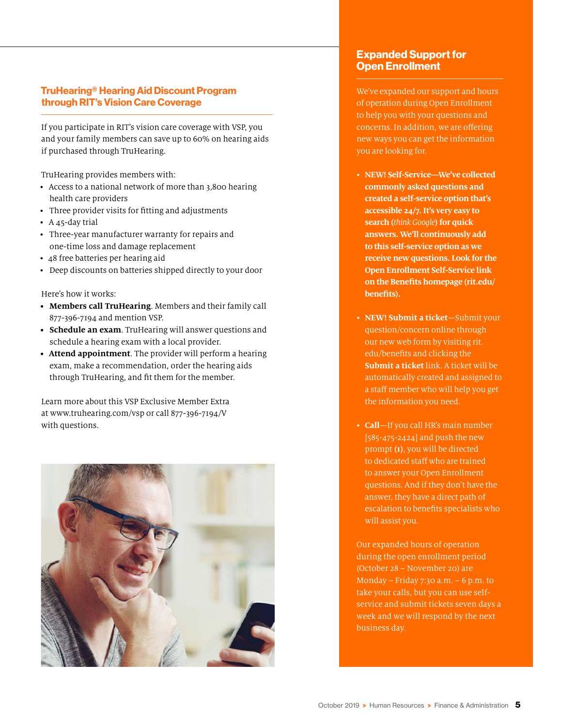#### TruHearing® Hearing Aid Discount Program through RIT's Vision Care Coverage

If you participate in RIT's vision care coverage with VSP, you and your family members can save up to 60% on hearing aids if purchased through TruHearing.

TruHearing provides members with:

- Access to a national network of more than 3,800 hearing health care providers
- Three provider visits for fitting and adjustments
- A 45-day trial
- Three-year manufacturer warranty for repairs and one-time loss and damage replacement
- 48 free batteries per hearing aid
- Deep discounts on batteries shipped directly to your door

Here's how it works:

- **• Members call TruHearing**. Members and their family call 877-396-7194 and mention VSP.
- **• Schedule an exam**. TruHearing will answer questions and schedule a hearing exam with a local provider.
- **• Attend appointment**. The provider will perform a hearing exam, make a recommendation, order the hearing aids through TruHearing, and fit them for the member.

Learn more about this VSP Exclusive Member Extra at www.truhearing.com/vsp or call 877-396-7194/V with questions.



#### Expanded Support for Open Enrollment

We've expanded our support and hours of operation during Open Enrollment to help you with your questions and concerns. In addition, we are offering new ways you can get the information you are looking for.

- **NEW! Self-Service—We've collected commonly asked questions and created a self-service option that's accessible 24/7. It's very easy to search (***think Google***) for quick answers. We'll continuously add to this self-service option as we receive new questions. Look for the Open Enrollment Self-Service link on the Benefits homepage (rit.edu/ benefits).**
- **NEW! Submit a ticket**—Submit your question/concern online through our new web form by visiting rit. edu/benefits and clicking the **Submit a ticket** link. A ticket will be automatically created and assigned to a staff member who will help you get the information you need.
- **Call**—If you call HR's main number [585-475-2424] and push the new prompt **(1)**, you will be directed to dedicated staff who are trained to answer your Open Enrollment questions. And if they don't have the answer, they have a direct path of escalation to benefits specialists who will assist you.

Our expanded hours of operation during the open enrollment period (October 28 – November 20) are Monday – Friday 7:30 a.m. – 6 p.m. to take your calls, but you can use selfservice and submit tickets seven days a week and we will respond by the next business day.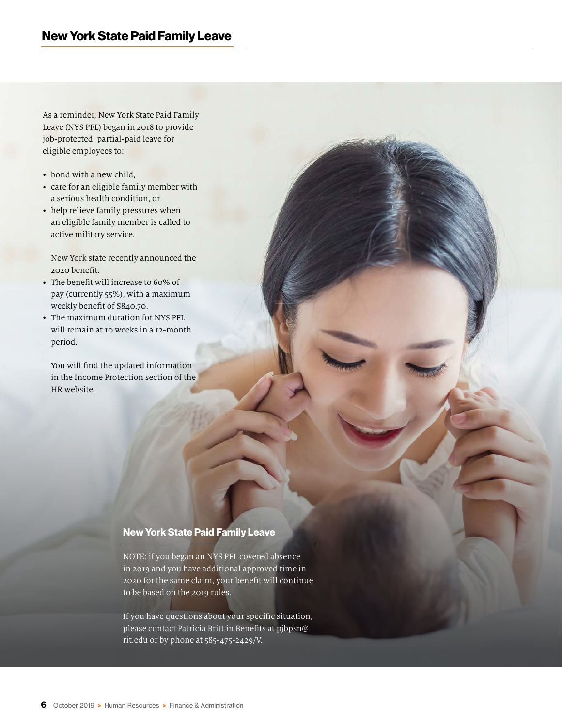As a reminder, New York State Paid Family Leave (NYS PFL) began in 2018 to provide job-protected, partial-paid leave for eligible employees to:

- bond with a new child,
- care for an eligible family member with a serious health condition, or
- help relieve family pressures when an eligible family member is called to active military service.

New York state recently announced the 2020 benefit:

- The benefit will increase to 60% of pay (currently 55%), with a maximum weekly benefit of \$840.70.
- The maximum duration for NYS PFL will remain at 10 weeks in a 12-month period.

You will find the updated information in the Income Protection section of the HR website.

#### New York State Paid Family Leave

NOTE: if you began an NYS PFL covered absence in 2019 and you have additional approved time in 2020 for the same claim, your benefit will continue to be based on the 2019 rules.

If you have questions about your specific situation, please contact Patricia Britt in Benefits at pjbpsn@ rit.edu or by phone at 585-475-2429/V.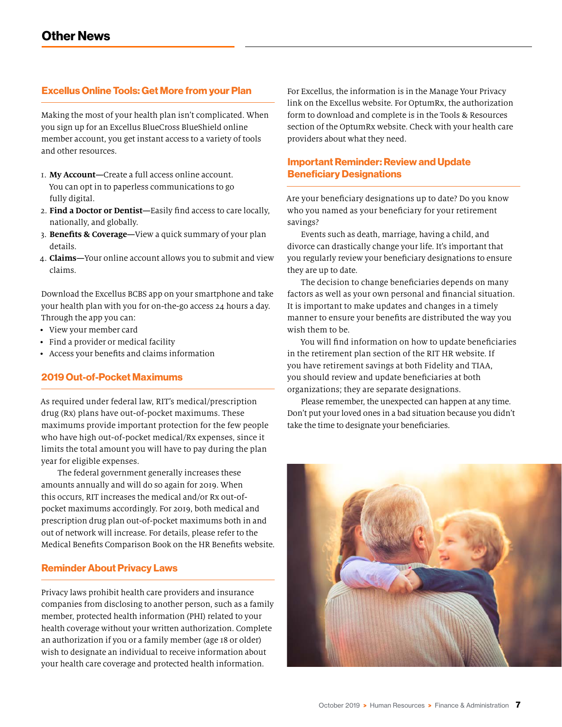#### Excellus Online Tools: Get More from your Plan

Making the most of your health plan isn't complicated. When you sign up for an Excellus BlueCross BlueShield online member account, you get instant access to a variety of tools and other resources.

- 1. **My Account—**Create a full access online account. You can opt in to paperless communications to go fully digital.
- 2. **Find a Doctor or Dentist—**Easily find access to care locally, nationally, and globally.
- 3. **Benefits & Coverage—**View a quick summary of your plan details.
- 4. **Claims—**Your online account allows you to submit and view claims.

Download the Excellus BCBS app on your smartphone and take your health plan with you for on-the-go access 24 hours a day. Through the app you can:

- View your member card
- Find a provider or medical facility
- Access your benefits and claims information

#### 2019 Out-of-Pocket Maximums

As required under federal law, RIT's medical/prescription drug (Rx) plans have out-of-pocket maximums. These maximums provide important protection for the few people who have high out-of-pocket medical/Rx expenses, since it limits the total amount you will have to pay during the plan year for eligible expenses.

The federal government generally increases these amounts annually and will do so again for 2019. When this occurs, RIT increases the medical and/or Rx out-ofpocket maximums accordingly. For 2019, both medical and prescription drug plan out-of-pocket maximums both in and out of network will increase. For details, please refer to the Medical Benefits Comparison Book on the HR Benefits website.

#### Reminder About Privacy Laws

Privacy laws prohibit health care providers and insurance companies from disclosing to another person, such as a family member, protected health information (PHI) related to your health coverage without your written authorization. Complete an authorization if you or a family member (age 18 or older) wish to designate an individual to receive information about your health care coverage and protected health information.

For Excellus, the information is in the Manage Your Privacy link on the Excellus website. For OptumRx, the authorization form to download and complete is in the Tools & Resources section of the OptumRx website. Check with your health care providers about what they need.

#### Important Reminder: Review and Update Beneficiary Designations

Are your beneficiary designations up to date? Do you know who you named as your beneficiary for your retirement savings?

Events such as death, marriage, having a child, and divorce can drastically change your life. It's important that you regularly review your beneficiary designations to ensure they are up to date.

The decision to change beneficiaries depends on many factors as well as your own personal and financial situation. It is important to make updates and changes in a timely manner to ensure your benefits are distributed the way you wish them to be.

You will find information on how to update beneficiaries in the retirement plan section of the RIT HR website. If you have retirement savings at both Fidelity and TIAA, you should review and update beneficiaries at both organizations; they are separate designations.

Please remember, the unexpected can happen at any time. Don't put your loved ones in a bad situation because you didn't take the time to designate your beneficiaries.

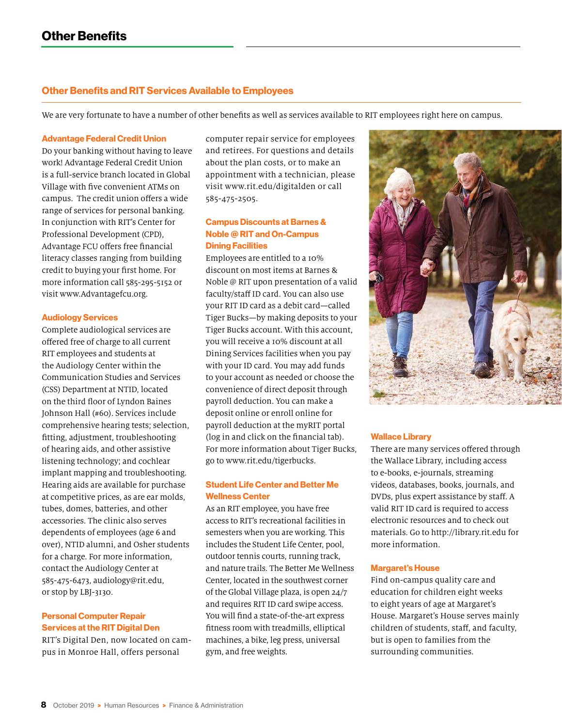#### Other Benefits and RIT Services Available to Employees

We are very fortunate to have a number of other benefits as well as services available to RIT employees right here on campus.

#### Advantage Federal Credit Union

Do your banking without having to leave work! Advantage Federal Credit Union is a full-service branch located in Global Village with five convenient ATMs on campus. The credit union offers a wide range of services for personal banking. In conjunction with RIT's Center for Professional Development (CPD), Advantage FCU offers free financial literacy classes ranging from building credit to buying your first home. For more information call 585-295-5152 or visit www.Advantagefcu.org.

#### Audiology Services

Complete audiological services are offered free of charge to all current RIT employees and students at the Audiology Center within the Communication Studies and Services (CSS) Department at NTID, located on the third floor of Lyndon Baines Johnson Hall (#60). Services include comprehensive hearing tests; selection, fitting, adjustment, troubleshooting of hearing aids, and other assistive listening technology; and cochlear implant mapping and troubleshooting. Hearing aids are available for purchase at competitive prices, as are ear molds, tubes, domes, batteries, and other accessories. The clinic also serves dependents of employees (age 6 and over), NTID alumni, and Osher students for a charge. For more information, contact the Audiology Center at 585-475-6473, audiology@rit.edu, or stop by LBJ-3130.

#### Personal Computer Repair Services at the RIT Digital Den

RIT's Digital Den, now located on campus in Monroe Hall, offers personal

computer repair service for employees and retirees. For questions and details about the plan costs, or to make an appointment with a technician, please visit www.rit.edu/digitalden or call 585-475-2505.

#### Campus Discounts at Barnes & Noble @ RIT and On-Campus Dining Facilities

Employees are entitled to a 10% discount on most items at Barnes & Noble @ RIT upon presentation of a valid faculty/staff ID card. You can also use your RIT ID card as a debit card—called Tiger Bucks—by making deposits to your Tiger Bucks account. With this account, you will receive a 10% discount at all Dining Services facilities when you pay with your ID card. You may add funds to your account as needed or choose the convenience of direct deposit through payroll deduction. You can make a deposit online or enroll online for payroll deduction at the myRIT portal (log in and click on the financial tab). For more information about Tiger Bucks, go to www.rit.edu/tigerbucks.

#### Student Life Center and Better Me Wellness Center

As an RIT employee, you have free access to RIT's recreational facilities in semesters when you are working. This includes the Student Life Center, pool, outdoor tennis courts, running track, and nature trails. The Better Me Wellness Center, located in the southwest corner of the Global Village plaza, is open 24/7 and requires RIT ID card swipe access. You will find a state-of-the-art express fitness room with treadmills, elliptical machines, a bike, leg press, universal gym, and free weights.



#### Wallace Library

There are many services offered through the Wallace Library, including access to e-books, e-journals, streaming videos, databases, books, journals, and DVDs, plus expert assistance by staff. A valid RIT ID card is required to access electronic resources and to check out materials. Go to http://library.rit.edu for more information.

#### Margaret's House

Find on-campus quality care and education for children eight weeks to eight years of age at Margaret's House. Margaret's House serves mainly children of students, staff, and faculty, but is open to families from the surrounding communities.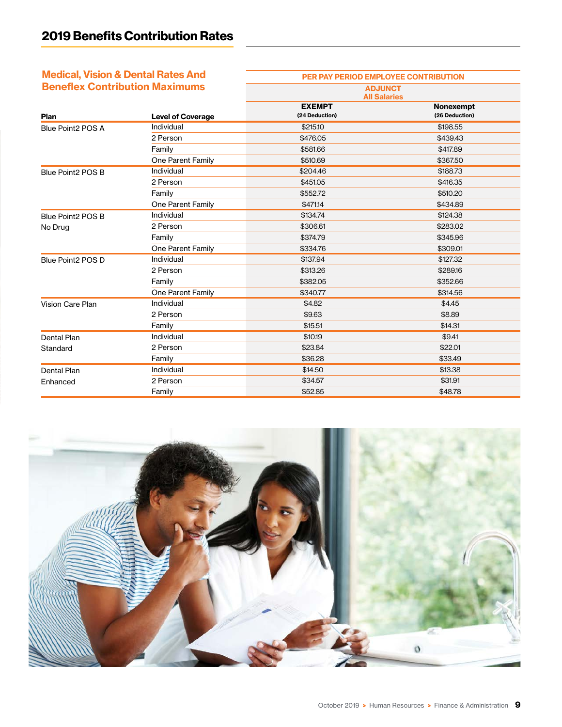## Medical, Vision & Dental Rates And

| <b>Medical, Vision &amp; Dental Rates And</b> |                          | PER PAY PERIOD EMPLOYEE CONTRIBUTION  |                             |  |
|-----------------------------------------------|--------------------------|---------------------------------------|-----------------------------|--|
| <b>Beneflex Contribution Maximums</b>         |                          | <b>ADJUNCT</b><br><b>All Salaries</b> |                             |  |
| Plan                                          | <b>Level of Coverage</b> | <b>EXEMPT</b><br>(24 Deduction)       | Nonexempt<br>(26 Deduction) |  |
| Blue Point2 POS A                             | Individual               | \$215.10                              | \$198.55                    |  |
|                                               | 2 Person                 | \$476.05                              | \$439.43                    |  |
|                                               | Family                   | \$581.66                              | \$417.89                    |  |
|                                               | One Parent Family        | \$510.69                              | \$367.50                    |  |
| Blue Point2 POS B                             | Individual               | \$204.46                              | \$188.73                    |  |
|                                               | 2 Person                 | \$451.05                              | \$416.35                    |  |
|                                               | Family                   | \$552.72                              | \$510.20                    |  |
|                                               | One Parent Family        | \$471.14                              | \$434.89                    |  |
| Blue Point2 POS B                             | Individual               | \$134.74                              | \$124.38                    |  |
| No Drug                                       | 2 Person                 | \$306.61                              | \$283.02                    |  |
|                                               | Family                   | \$374.79                              | \$345.96                    |  |
|                                               | One Parent Family        | \$334.76                              | \$309.01                    |  |
| Blue Point2 POS D                             | Individual               | \$137.94                              | \$127.32                    |  |
|                                               | 2 Person                 | \$313.26                              | \$289.16                    |  |
|                                               | Family                   | \$382.05                              | \$352.66                    |  |
|                                               | One Parent Family        | \$340.77                              | \$314.56                    |  |
| Vision Care Plan                              | Individual               | \$4.82                                | \$4.45                      |  |
|                                               | 2 Person                 | \$9.63                                | \$8.89                      |  |
|                                               | Family                   | \$15.51                               | \$14.31                     |  |
| Dental Plan                                   | Individual               | \$10.19                               | \$9.41                      |  |
| Standard                                      | 2 Person                 | \$23.84                               | \$22.01                     |  |
|                                               | Family                   | \$36.28                               | \$33.49                     |  |
| Dental Plan                                   | Individual               | \$14.50                               | \$13.38                     |  |
| Enhanced                                      | 2 Person                 | \$34.57                               | \$31.91                     |  |
|                                               | Family                   | \$52.85                               | \$48.78                     |  |